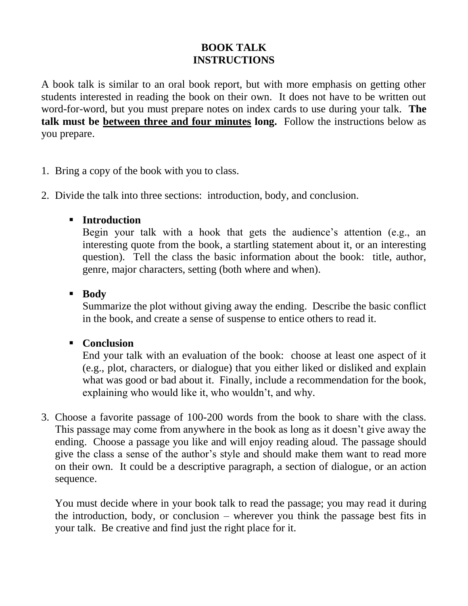# **BOOK TALK INSTRUCTIONS**

A book talk is similar to an oral book report, but with more emphasis on getting other students interested in reading the book on their own. It does not have to be written out word-for-word, but you must prepare notes on index cards to use during your talk. **The talk must be between three and four minutes long.** Follow the instructions below as you prepare.

- 1. Bring a copy of the book with you to class.
- 2. Divide the talk into three sections: introduction, body, and conclusion.

## **Introduction**

Begin your talk with a hook that gets the audience's attention (e.g., an interesting quote from the book, a startling statement about it, or an interesting question). Tell the class the basic information about the book: title, author, genre, major characters, setting (both where and when).

## **Body**

Summarize the plot without giving away the ending. Describe the basic conflict in the book, and create a sense of suspense to entice others to read it.

## **Conclusion**

End your talk with an evaluation of the book: choose at least one aspect of it (e.g., plot, characters, or dialogue) that you either liked or disliked and explain what was good or bad about it. Finally, include a recommendation for the book, explaining who would like it, who wouldn't, and why.

3. Choose a favorite passage of 100-200 words from the book to share with the class. This passage may come from anywhere in the book as long as it doesn't give away the ending. Choose a passage you like and will enjoy reading aloud. The passage should give the class a sense of the author's style and should make them want to read more on their own. It could be a descriptive paragraph, a section of dialogue, or an action sequence.

You must decide where in your book talk to read the passage; you may read it during the introduction, body, or conclusion – wherever you think the passage best fits in your talk. Be creative and find just the right place for it.